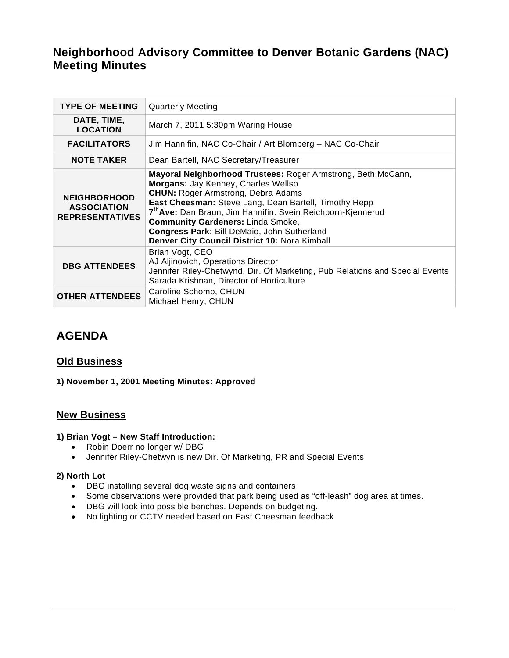# **Neighborhood Advisory Committee to Denver Botanic Gardens (NAC) Meeting Minutes**

| <b>TYPE OF MEETING</b>                                              | <b>Quarterly Meeting</b>                                                                                                                                                                                                                                                                                                                                                                                                         |
|---------------------------------------------------------------------|----------------------------------------------------------------------------------------------------------------------------------------------------------------------------------------------------------------------------------------------------------------------------------------------------------------------------------------------------------------------------------------------------------------------------------|
| DATE, TIME,<br><b>LOCATION</b>                                      | March 7, 2011 5:30pm Waring House                                                                                                                                                                                                                                                                                                                                                                                                |
| <b>FACILITATORS</b>                                                 | Jim Hannifin, NAC Co-Chair / Art Blomberg - NAC Co-Chair                                                                                                                                                                                                                                                                                                                                                                         |
| <b>NOTE TAKER</b>                                                   | Dean Bartell, NAC Secretary/Treasurer                                                                                                                                                                                                                                                                                                                                                                                            |
| <b>NEIGHBORHOOD</b><br><b>ASSOCIATION</b><br><b>REPRESENTATIVES</b> | Mayoral Neighborhood Trustees: Roger Armstrong, Beth McCann,<br>Morgans: Jay Kenney, Charles Wellso<br><b>CHUN: Roger Armstrong, Debra Adams</b><br>East Cheesman: Steve Lang, Dean Bartell, Timothy Hepp<br>7 <sup>th</sup> Ave: Dan Braun, Jim Hannifin. Svein Reichborn-Kjennerud<br><b>Community Gardeners: Linda Smoke,</b><br>Congress Park: Bill DeMaio, John Sutherland<br>Denver City Council District 10: Nora Kimball |
| <b>DBG ATTENDEES</b>                                                | Brian Vogt, CEO<br>AJ Aljinovich, Operations Director<br>Jennifer Riley-Chetwynd, Dir. Of Marketing, Pub Relations and Special Events<br>Sarada Krishnan, Director of Horticulture                                                                                                                                                                                                                                               |
| <b>OTHER ATTENDEES</b>                                              | Caroline Schomp, CHUN<br>Michael Henry, CHUN                                                                                                                                                                                                                                                                                                                                                                                     |

# **AGENDA**

## **Old Business**

## **1) November 1, 2001 Meeting Minutes: Approved**

## **New Business**

#### **1) Brian Vogt – New Staff Introduction:**

- Robin Doerr no longer w/ DBG
- Jennifer Riley-Chetwyn is new Dir. Of Marketing, PR and Special Events

## **2) North Lot**

- DBG installing several dog waste signs and containers
- Some observations were provided that park being used as "off-leash" dog area at times.
- DBG will look into possible benches. Depends on budgeting.
- No lighting or CCTV needed based on East Cheesman feedback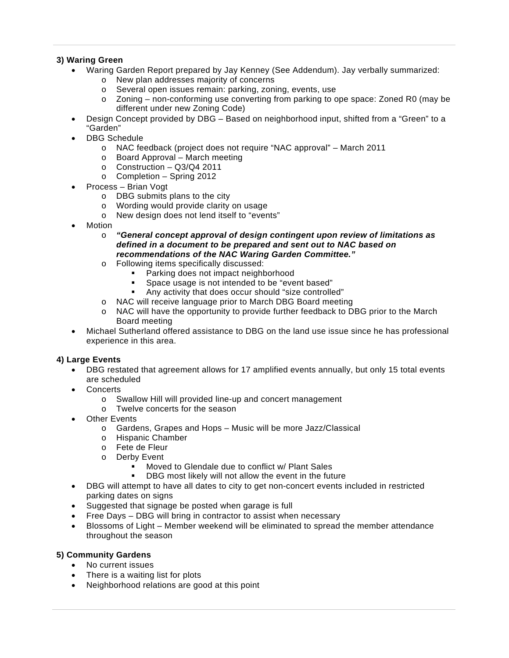#### **3) Waring Green**

- Waring Garden Report prepared by Jay Kenney (See Addendum). Jay verbally summarized:
	- o New plan addresses majority of concerns
	- o Several open issues remain: parking, zoning, events, use
	- o Zoning non-conforming use converting from parking to ope space: Zoned R0 (may be different under new Zoning Code)
- Design Concept provided by DBG Based on neighborhood input, shifted from a "Green" to a "Garden"
- DBG Schedule
	- o NAC feedback (project does not require "NAC approval" March 2011
	- o Board Approval March meeting
	- o Construction Q3/Q4 2011
	- o Completion Spring 2012
- Process Brian Vogt
	- o DBG submits plans to the city
	- o Wording would provide clarity on usage
	- o New design does not lend itself to "events"
- **Motion** 
	- o *"General concept approval of design contingent upon review of limitations as defined in a document to be prepared and sent out to NAC based on recommendations of the NAC Waring Garden Committee."*
	- o Following items specifically discussed:
		- **Parking does not impact neighborhood**<br>**EXPACE USAGE IS not intended to be "every**
		- Space usage is not intended to be "event based"
		- Any activity that does occur should "size controlled"
	- o NAC will receive language prior to March DBG Board meeting
	- o NAC will have the opportunity to provide further feedback to DBG prior to the March Board meeting
- Michael Sutherland offered assistance to DBG on the land use issue since he has professional experience in this area.

## **4) Large Events**

- DBG restated that agreement allows for 17 amplified events annually, but only 15 total events are scheduled
- **Concerts** 
	- o Swallow Hill will provided line-up and concert management
	- o Twelve concerts for the season
- **Other Events** 
	- o Gardens, Grapes and Hops Music will be more Jazz/Classical
	- o Hispanic Chamber
	- o Fete de Fleur
	- o Derby Event
		- **Moved to Glendale due to conflict w/ Plant Sales**
		- **-** DBG most likely will not allow the event in the future
- DBG will attempt to have all dates to city to get non-concert events included in restricted parking dates on signs
- Suggested that signage be posted when garage is full
- Free Days DBG will bring in contractor to assist when necessary
- Blossoms of Light Member weekend will be eliminated to spread the member attendance throughout the season

## **5) Community Gardens**

- No current issues
- There is a waiting list for plots
- Neighborhood relations are good at this point